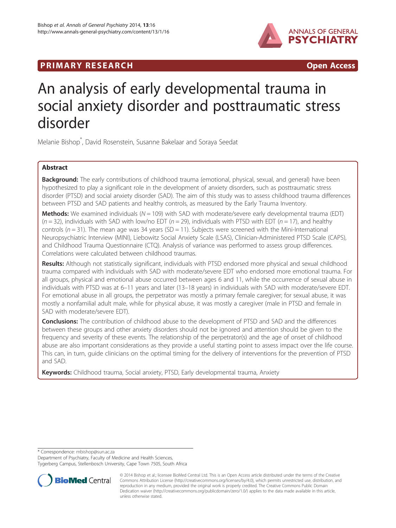## **PRIMARY RESEARCH CONSUMING THE OPEN ACCESS**



# An analysis of early developmental trauma in social anxiety disorder and posttraumatic stress disorder

Melanie Bishop\* , David Rosenstein, Susanne Bakelaar and Soraya Seedat

## Abstract

Background: The early contributions of childhood trauma (emotional, physical, sexual, and general) have been hypothesized to play a significant role in the development of anxiety disorders, such as posttraumatic stress disorder (PTSD) and social anxiety disorder (SAD). The aim of this study was to assess childhood trauma differences between PTSD and SAD patients and healthy controls, as measured by the Early Trauma Inventory.

**Methods:** We examined individuals ( $N = 109$ ) with SAD with moderate/severe early developmental trauma (EDT)  $(n=32)$ , individuals with SAD with low/no EDT  $(n=29)$ , individuals with PTSD with EDT  $(n=17)$ , and healthy controls ( $n = 31$ ). The mean age was 34 years ( $SD = 11$ ). Subjects were screened with the Mini-International Neuropsychiatric Interview (MINI), Liebowitz Social Anxiety Scale (LSAS), Clinician-Administered PTSD Scale (CAPS), and Childhood Trauma Questionnaire (CTQ). Analysis of variance was performed to assess group differences. Correlations were calculated between childhood traumas.

Results: Although not statistically significant, individuals with PTSD endorsed more physical and sexual childhood trauma compared with individuals with SAD with moderate/severe EDT who endorsed more emotional trauma. For all groups, physical and emotional abuse occurred between ages 6 and 11, while the occurrence of sexual abuse in individuals with PTSD was at 6–11 years and later (13–18 years) in individuals with SAD with moderate/severe EDT. For emotional abuse in all groups, the perpetrator was mostly a primary female caregiver; for sexual abuse, it was mostly a nonfamilial adult male, while for physical abuse, it was mostly a caregiver (male in PTSD and female in SAD with moderate/severe EDT).

**Conclusions:** The contribution of childhood abuse to the development of PTSD and SAD and the differences between these groups and other anxiety disorders should not be ignored and attention should be given to the frequency and severity of these events. The relationship of the perpetrator(s) and the age of onset of childhood abuse are also important considerations as they provide a useful starting point to assess impact over the life course. This can, in turn, guide clinicians on the optimal timing for the delivery of interventions for the prevention of PTSD and SAD.

**Keywords:** Childhood trauma, Social anxiety, PTSD, Early developmental trauma, Anxiety

\* Correspondence: [mbishop@sun.ac.za](mailto:mbishop@sun.ac.za)

Department of Psychiatry, Faculty of Medicine and Health Sciences,

Tygerberg Campus, Stellenbosch University, Cape Town 7505, South Africa



<sup>© 2014</sup> Bishop et al.; licensee BioMed Central Ltd. This is an Open Access article distributed under the terms of the Creative Commons Attribution License [\(http://creativecommons.org/licenses/by/4.0\)](http://creativecommons.org/licenses/by/4.0), which permits unrestricted use, distribution, and reproduction in any medium, provided the original work is properly credited. The Creative Commons Public Domain Dedication waiver [\(http://creativecommons.org/publicdomain/zero/1.0/](http://creativecommons.org/publicdomain/zero/1.0/)) applies to the data made available in this article, unless otherwise stated.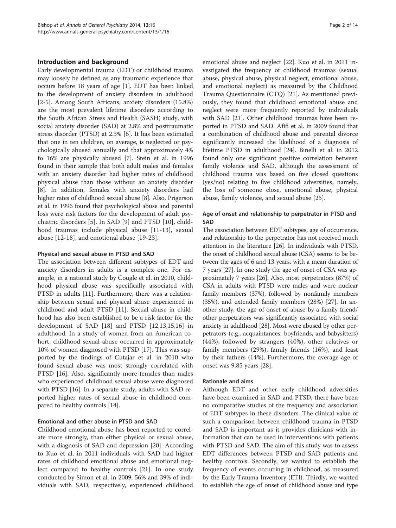#### Introduction and background

Early developmental trauma (EDT) or childhood trauma may loosely be defined as any traumatic experience that occurs before 18 years of age [[1](#page-12-0)]. EDT has been linked to the development of anxiety disorders in adulthood [[2-5](#page-12-0)]. Among South Africans, anxiety disorders (15.8%) are the most prevalent lifetime disorders according to the South African Stress and Health (SASH) study, with social anxiety disorder (SAD) at 2.8% and posttraumatic stress disorder (PTSD) at 2.3% [[6\]](#page-12-0). It has been estimated that one in ten children, on average, is neglected or psychologically abused annually and that approximately 4% to 16% are physically abused [\[7](#page-12-0)]. Stein et al. in 1996 found in their sample that both adult males and females with an anxiety disorder had higher rates of childhood physical abuse than those without an anxiety disorder [[8\]](#page-12-0). In addition, females with anxiety disorders had higher rates of childhood sexual abuse [[8](#page-12-0)]. Also, Prigerson et al. in 1996 found that psychological abuse and parental loss were risk factors for the development of adult psychiatric disorders [[5\]](#page-12-0). In SAD [[9](#page-12-0)] and PTSD [[10\]](#page-12-0), childhood traumas include physical abuse [[11](#page-12-0)-[13\]](#page-12-0), sexual abuse [[12](#page-12-0)-[18\]](#page-12-0), and emotional abuse [[19-23](#page-12-0)].

#### Physical and sexual abuse in PTSD and SAD

The association between different subtypes of EDT and anxiety disorders in adults is a complex one. For example, in a national study by Cougle et al. in 2010, childhood physical abuse was specifically associated with PTSD in adults [[11](#page-12-0)]. Furthermore, there was a relationship between sexual and physical abuse experienced in childhood and adult PTSD [[11](#page-12-0)]. Sexual abuse in childhood has also been established to be a risk factor for the development of SAD [\[18\]](#page-12-0) and PTSD [\[12,13,15,16\]](#page-12-0) in adulthood. In a study of women from an American cohort, childhood sexual abuse occurred in approximately 10% of women diagnosed with PTSD [\[17](#page-12-0)]. This was supported by the findings of Cutajar et al. in 2010 who found sexual abuse was most strongly correlated with PTSD [\[16](#page-12-0)]. Also, significantly more females than males who experienced childhood sexual abuse were diagnosed with PTSD [[16\]](#page-12-0). In a separate study, adults with SAD reported higher rates of sexual abuse in childhood compared to healthy controls [[14](#page-12-0)].

#### Emotional and other abuse in PTSD and SAD

Childhood emotional abuse has been reported to correlate more strongly, than either physical or sexual abuse, with a diagnosis of SAD and depression [[20](#page-12-0)]. According to Kuo et al. in 2011 individuals with SAD had higher rates of childhood emotional abuse and emotional neglect compared to healthy controls [[21](#page-12-0)]. In one study conducted by Simon et al. in 2009, 56% and 39% of individuals with SAD, respectively, experienced childhood emotional abuse and neglect [[22\]](#page-12-0). Kuo et al. in 2011 investigated the frequency of childhood traumas (sexual abuse, physical abuse, physical neglect, emotional abuse, and emotional neglect) as measured by the Childhood Trauma Questionnaire (CTQ) [\[21](#page-12-0)]. As mentioned previously, they found that childhood emotional abuse and neglect were more frequently reported by individuals with SAD [[21](#page-12-0)]. Other childhood traumas have been reported in PTSD and SAD. Afifi et al. in 2009 found that a combination of childhood abuse and parental divorce significantly increased the likelihood of a diagnosis of lifetime PTSD in adulthood [[24](#page-12-0)]. Binelli et al. in 2012 found only one significant positive correlation between family violence and SAD, although the assessment of childhood trauma was based on five closed questions (yes/no) relating to five childhood adversities, namely, the loss of someone close, emotional abuse, physical abuse, family violence, and sexual abuse [\[25](#page-12-0)].

#### Age of onset and relationship to perpetrator in PTSD and SAD

The association between EDT subtypes, age of occurrence, and relationship to the perpetrator has not received much attention in the literature [[26](#page-12-0)]. In individuals with PTSD, the onset of childhood sexual abuse (CSA) seems to be between the ages of 6 and 13 years, with a mean duration of 7 years [[27](#page-13-0)]. In one study the age of onset of CSA was approximately 7 years [\[26](#page-12-0)]. Also, most perpetrators (87%) of CSA in adults with PTSD were males and were nuclear family members (37%), followed by nonfamily members (35%), and extended family members (28%) [\[27](#page-13-0)]. In another study, the age of onset of abuse by a family friend/ other perpetrators was significantly associated with social anxiety in adulthood [[28\]](#page-13-0). Most were abused by other perpetrators (e.g., acquaintances, boyfriends, and babysitters) (44%), followed by strangers (40%), other relatives or family members (29%), family friends (16%), and least by their fathers (14%). Furthermore, the average age of onset was 9.85 years [[28\]](#page-13-0).

#### Rationale and aims

Although EDT and other early childhood adversities have been examined in SAD and PTSD, there have been no comparative studies of the frequency and association of EDT subtypes in these disorders. The clinical value of such a comparison between childhood trauma in PTSD and SAD is important as it provides clinicians with information that can be used in interventions with patients with PTSD and SAD. The aim of this study was to assess EDT differences between PTSD and SAD patients and healthy controls. Secondly, we wanted to establish the frequency of events occurring in childhood, as measured by the Early Trauma Inventory (ETI). Thirdly, we wanted to establish the age of onset of childhood abuse and type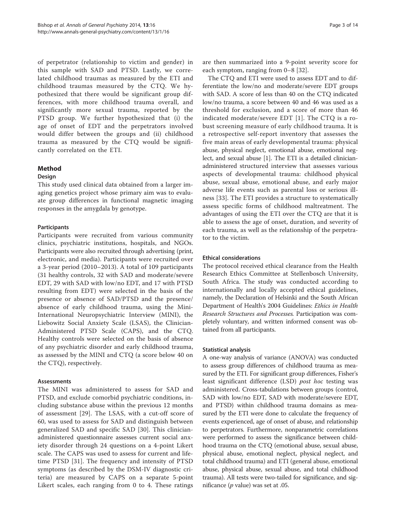of perpetrator (relationship to victim and gender) in this sample with SAD and PTSD. Lastly, we correlated childhood traumas as measured by the ETI and childhood traumas measured by the CTQ. We hypothesized that there would be significant group differences, with more childhood trauma overall, and significantly more sexual trauma, reported by the PTSD group. We further hypothesized that (i) the age of onset of EDT and the perpetrators involved would differ between the groups and (ii) childhood trauma as measured by the CTQ would be significantly correlated on the ETI.

## Method

## Design

This study used clinical data obtained from a larger imaging genetics project whose primary aim was to evaluate group differences in functional magnetic imaging responses in the amygdala by genotype.

## Participants

Participants were recruited from various community clinics, psychiatric institutions, hospitals, and NGOs. Participants were also recruited through advertising (print, electronic, and media). Participants were recruited over a 3-year period (2010–2013). A total of 109 participants (31 healthy controls, 32 with SAD and moderate/severe EDT, 29 with SAD with low/no EDT, and 17 with PTSD resulting from EDT) were selected in the basis of the presence or absence of SAD/PTSD and the presence/ absence of early childhood trauma, using the Mini-International Neuropsychiatric Interview (MINI), the Liebowitz Social Anxiety Scale (LSAS), the Clinician-Administered PTSD Scale (CAPS), and the CTQ. Healthy controls were selected on the basis of absence of any psychiatric disorder and early childhood trauma, as assessed by the MINI and CTQ (a score below 40 on the CTQ), respectively.

## Assessments

The MINI was administered to assess for SAD and PTSD, and exclude comorbid psychiatric conditions, including substance abuse within the previous 12 months of assessment [[29\]](#page-13-0). The LSAS, with a cut-off score of 60, was used to assess for SAD and distinguish between generalized SAD and specific SAD [[30\]](#page-13-0). This clinicianadministered questionnaire assesses current social anxiety disorder through 24 questions on a 4-point Likert scale. The CAPS was used to assess for current and lifetime PTSD [[31\]](#page-13-0). The frequency and intensity of PTSD symptoms (as described by the DSM-IV diagnostic criteria) are measured by CAPS on a separate 5-point Likert scales, each ranging from 0 to 4. These ratings are then summarized into a 9-point severity score for each symptom, ranging from 0–8 [[32](#page-13-0)].

The CTQ and ETI were used to assess EDT and to differentiate the low/no and moderate/severe EDT groups with SAD. A score of less than 40 on the CTQ indicated low/no trauma, a score between 40 and 46 was used as a threshold for exclusion, and a score of more than 46 indicated moderate/severe EDT [[1\]](#page-12-0). The CTQ is a robust screening measure of early childhood trauma. It is a retrospective self-report inventory that assesses the five main areas of early developmental trauma: physical abuse, physical neglect, emotional abuse, emotional neglect, and sexual abuse [\[1](#page-12-0)]. The ETI is a detailed clinicianadministered structured interview that assesses various aspects of developmental trauma: childhood physical abuse, sexual abuse, emotional abuse, and early major adverse life events such as parental loss or serious illness [\[33\]](#page-13-0). The ETI provides a structure to systematically assess specific forms of childhood maltreatment. The advantages of using the ETI over the CTQ are that it is able to assess the age of onset, duration, and severity of each trauma, as well as the relationship of the perpetrator to the victim.

## Ethical considerations

The protocol received ethical clearance from the Health Research Ethics Committee at Stellenbosch University, South Africa. The study was conducted according to internationally and locally accepted ethical guidelines, namely, the Declaration of Helsinki and the South African Department of Health's 2004 Guidelines: Ethics in Health Research Structures and Processes. Participation was completely voluntary, and written informed consent was obtained from all participants.

#### Statistical analysis

A one-way analysis of variance (ANOVA) was conducted to assess group differences of childhood trauma as measured by the ETI. For significant group differences, Fisher's least significant difference (LSD) post hoc testing was administered. Cross-tabulations between groups (control, SAD with low/no EDT, SAD with moderate/severe EDT, and PTSD) within childhood trauma domains as measured by the ETI were done to calculate the frequency of events experienced, age of onset of abuse, and relationship to perpetrators. Furthermore, nonparametric correlations were performed to assess the significance between childhood trauma on the CTQ (emotional abuse, sexual abuse, physical abuse, emotional neglect, physical neglect, and total childhood trauma) and ETI (general abuse, emotional abuse, physical abuse, sexual abuse, and total childhood trauma). All tests were two-tailed for significance, and significance ( $p$  value) was set at .05.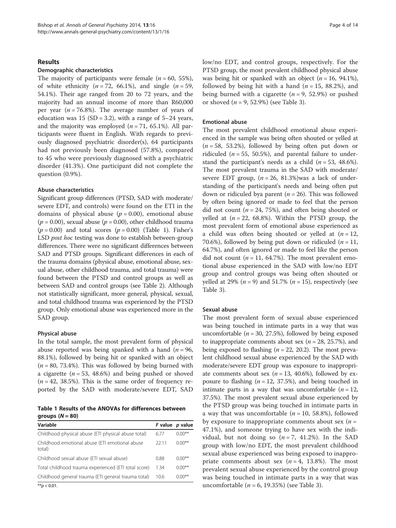#### Results

## Demographic characteristics

The majority of participants were female  $(n = 60, 55\%)$ , of white ethnicity ( $n = 72$ , 66.1%), and single ( $n = 59$ , 54.1%). Their age ranged from 20 to 72 years, and the majority had an annual income of more than R60,000 per year ( $n = 76.8\%$ ). The average number of years of education was 15 (SD = 3.2), with a range of  $5-24$  years, and the majority was employed  $(n = 71, 65.1\%)$ . All participants were fluent in English. With regards to previously diagnosed psychiatric disorder(s), 64 participants had not previously been diagnosed (57.8%), compared to 45 who were previously diagnosed with a psychiatric disorder (41.3%). One participant did not complete the question (0.9%).

#### Abuse characteristics

Significant group differences (PTSD, SAD with moderate/ severe EDT, and controls) were found on the ETI in the domains of physical abuse ( $p = 0.00$ ), emotional abuse  $(p = 0.00)$ , sexual abuse  $(p = 0.00)$ , other childhood trauma  $(p = 0.00)$  and total scores  $(p = 0.00)$  (Table 1). Fisher's LSD *post hoc* testing was done to establish between-group differences. There were no significant differences between SAD and PTSD groups. Significant differences in each of the trauma domains (physical abuse, emotional abuse, sexual abuse, other childhood trauma, and total trauma) were found between the PTSD and control groups as well as between SAD and control groups (see Table [2](#page-4-0)). Although not statistically significant, more general, physical, sexual, and total childhood trauma was experienced by the PTSD group. Only emotional abuse was experienced more in the SAD group.

#### Physical abuse

In the total sample, the most prevalent form of physical abuse reported was being spanked with a hand  $(n = 96,$ 88.1%), followed by being hit or spanked with an object  $(n = 80, 73.4\%)$ . This was followed by being burned with a cigarette ( $n = 53$ , 48.6%) and being pushed or shoved  $(n = 42, 38.5\%)$ . This is the same order of frequency reported by the SAD with moderate/severe EDT, SAD

Table 1 Results of the ANOVAs for differences between groups  $(N = 80)$ 

| Variable                                                 | F value | <i>p</i> value |
|----------------------------------------------------------|---------|----------------|
| Childhood physical abuse (ETI physical abuse total)      | 677     | $0.00**$       |
| Childhood emotional abuse (ETI emotional abuse<br>total) | 22.11   | $0.00***$      |
| Childhood sexual abuse (ETI sexual abuse)                | 0.88    | $0.00**$       |
| Total childhood trauma experienced (ETI total score)     | 1.34    | $0.00**$       |
| Childhood general trauma (ETI general trauma total)      | 10.6    | $0.00***$      |

 $**p < 0.01$ .

low/no EDT, and control groups, respectively. For the PTSD group, the most prevalent childhood physical abuse was being hit or spanked with an object  $(n = 16, 94.1\%)$ , followed by being hit with a hand ( $n = 15$ , 88.2%), and being burned with a cigarette ( $n = 9$ , 52.9%) or pushed or shoved  $(n = 9, 52.9\%)$  (see Table [3\)](#page-5-0).

#### Emotional abuse

The most prevalent childhood emotional abuse experienced in the sample was being often shouted or yelled at  $(n = 58, 53.2\%)$ , followed by being often put down or ridiculed ( $n = 55$ , 50.5%), and parental failure to understand the participant's needs as a child  $(n = 53, 48.6\%).$ The most prevalent trauma in the SAD with moderate/ severe EDT group,  $(n = 26, 81.3%)$ was a lack of understanding of the participant's needs and being often put down or ridiculed bya parent ( $n = 26$ ). This was followed by often being ignored or made to feel that the person did not count ( $n = 24$ , 75%), and often being shouted or yelled at  $(n = 22, 68.8\%)$ . Within the PTSD group, the most prevalent form of emotional abuse experienced as a child was often being shouted or yelled at  $(n = 12,$ 70.6%), followed by being put down or ridiculed ( $n = 11$ , 64.7%), and often ignored or made to feel like the person did not count ( $n = 11$ , 64.7%). The most prevalent emotional abuse experienced in the SAD with low/no EDT group and control groups was being often shouted or yelled at 29%  $(n = 9)$  and 51.7%  $(n = 15)$ , respectively (see Table [3\)](#page-5-0).

#### Sexual abuse

The most prevalent form of sexual abuse experienced was being touched in intimate parts in a way that was uncomfortable ( $n = 30, 27.5\%$ ), followed by being exposed to inappropriate comments about sex ( $n = 28$ , 25.7%), and being exposed to flashing ( $n = 22, 20.2$ ). The most prevalent childhood sexual abuse experienced by the SAD with moderate/severe EDT group was exposure to inappropriate comments about sex ( $n = 13, 40.6\%$ ), followed by exposure to flashing ( $n = 12, 37.5%$ ), and being touched in intimate parts in a way that was uncomfortable  $(n = 12,$ 37.5%). The most prevalent sexual abuse experienced by the PTSD group was being touched in intimate parts in a way that was uncomfortable ( $n = 10, 58.8\%$ ), followed by exposure to inappropriate comments about sex  $(n =$ 47.1%), and someone trying to have sex with the individual, but not doing so  $(n = 7, 41.2%)$ . In the SAD group with low/no EDT, the most prevalent childhood sexual abuse experienced was being exposed to inappropriate comments about sex ( $n = 4$ , 13.8%). The most prevalent sexual abuse experienced by the control group was being touched in intimate parts in a way that was uncomfortable ( $n = 6$ , 19.35%) (see Table [3](#page-5-0)).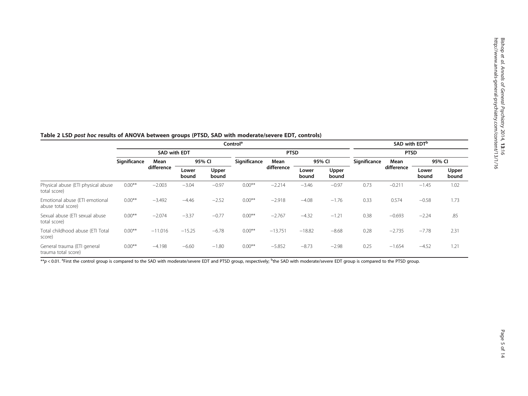<span id="page-4-0"></span>

| Table 2 LSD post hoc results of ANOVA between groups (PTSD, SAD with moderate/severe EDT, controls) |              |              |                |                |                           |             |                |                |              |            |                |                |  |
|-----------------------------------------------------------------------------------------------------|--------------|--------------|----------------|----------------|---------------------------|-------------|----------------|----------------|--------------|------------|----------------|----------------|--|
|                                                                                                     |              |              |                |                | SAD with EDT <sup>b</sup> |             |                |                |              |            |                |                |  |
|                                                                                                     |              | SAD with EDT |                |                |                           | <b>PTSD</b> |                |                | <b>PTSD</b>  |            |                |                |  |
|                                                                                                     | Significance | Mean         | 95% CI         |                | Significance              | Mean        | 95% CI         |                | Significance | Mean       | 95% CI         |                |  |
|                                                                                                     |              | difference   | Lower<br>bound | Upper<br>bound |                           | difference  | Lower<br>bound | Upper<br>bound |              | difference | Lower<br>bound | Upper<br>bound |  |
| Physical abuse (ETI physical abuse<br>total score)                                                  | $0.00**$     | $-2.003$     | $-3.04$        | $-0.97$        | $0.00**$                  | $-2.214$    | $-3.46$        | $-0.97$        | 0.73         | $-0.211$   | $-1.45$        | 1.02           |  |
| Emotional abuse (ETI emotional<br>abuse total score)                                                | $0.00**$     | $-3.492$     | $-4.46$        | $-2.52$        | $0.00**$                  | $-2.918$    | $-4.08$        | $-1.76$        | 0.33         | 0.574      | $-0.58$        | 1.73           |  |
| Sexual abuse (ETI sexual abuse<br>total score)                                                      | $0.00**$     | $-2.074$     | $-3.37$        | $-0.77$        | $0.00**$                  | $-2.767$    | $-4.32$        | $-1.21$        | 0.38         | $-0.693$   | $-2.24$        | .85            |  |
| Total childhood abuse (ETI Total<br>score)                                                          | $0.00**$     | $-11.016$    | $-15.25$       | $-6.78$        | $0.00**$                  | $-13.751$   | $-18.82$       | $-8.68$        | 0.28         | $-2.735$   | $-7.78$        | 2.31           |  |
| General trauma (ETI general<br>trauma total score)                                                  | $0.00**$     | $-4.198$     | $-6.60$        | $-1.80$        | $0.00**$                  | $-5.852$    | $-8.73$        | $-2.98$        | 0.25         | $-1.654$   | $-4.52$        | 1.21           |  |

 $*p$  < 0.01. <sup>a</sup>First the control group is compared to the SAD with moderate/severe EDT and PTSD group, respectively; <sup>b</sup>the SAD with moderate/severe EDT group is compared to the PTSD group.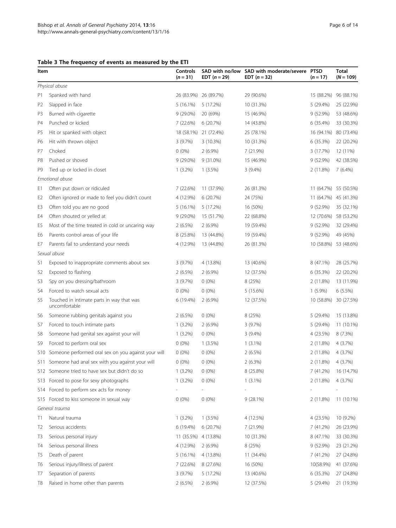## <span id="page-5-0"></span>Table 3 The frequency of events as measured by the ETI

| Item            |                                                            | SAD with no/low SAD with moderate/severe<br>EDT $(n = 32)$ | <b>PTSD</b><br>$(n = 17)$ | <b>Total</b><br>$(N = 109)$ |            |                       |
|-----------------|------------------------------------------------------------|------------------------------------------------------------|---------------------------|-----------------------------|------------|-----------------------|
|                 | Physical abuse                                             |                                                            |                           |                             |            |                       |
| P1              | Spanked with hand                                          | 26 (83.9%)                                                 | 26 (89.7%)                | 29 (90.6%)                  | 15 (88.2%) | 96 (88.1%)            |
| P <sub>2</sub>  | Slapped in face                                            | 5(16.1%)                                                   | 5 (17.2%)                 | 10 (31.3%)                  | 5 (29.4%)  | 25 (22.9%)            |
| P <sub>3</sub>  | Burned with cigarette                                      | 9 (29.0%)                                                  | 20 (69%)                  | 15 (46.9%)                  | 9 (52.9%)  | 53 (48.6%)            |
| P4              | Punched or kicked                                          | 7 (22.6%)                                                  | 6 (20.7%)                 | 14 (43.8%)                  | 6(35.4%)   | 33 (30.3%)            |
| P <sub>5</sub>  | Hit or spanked with object                                 |                                                            | 18 (58.1%) 21 (72.4%)     | 25 (78.1%)                  | 16 (94.1%) | 80 (73.4%)            |
| P <sub>6</sub>  | Hit with thrown object                                     | 3(9.7%)                                                    | 3 (10.3%)                 | 10 (31.3%)                  | 6(35.3%)   | 22 (20.2%)            |
| P7              | Choked                                                     | $0(0\%)$                                                   | $2(6.9\%)$                | 7(21.9%)                    | 3(17.7%)   | 12 (11%)              |
| P8              | Pushed or shoved                                           | $9(29.0\%)$                                                | 9 (31.0%)                 | 15 (46.9%)                  | 9 (52.9%)  | 42 (38.5%)            |
| P9              | Tied up or locked in closet                                | $1(3.2\%)$                                                 | $1(3.5\%)$                | $3(9.4\%)$                  | 2 (11.8%)  | 7(6.4%)               |
|                 | Emotional abuse                                            |                                                            |                           |                             |            |                       |
| E1              | Often put down or ridiculed                                | 7 (22.6%)                                                  | 11 (37.9%)                | 26 (81.3%)                  |            | 11 (64.7%) 55 (50.5%) |
| E <sub>2</sub>  | Often ignored or made to feel you didn't count             | 4 (12.9%)                                                  | 6 (20.7%)                 | 24 (75%)                    |            | 11 (64.7%) 45 (41.3%) |
| E3              | Often told you are no good                                 | 5(16.1%)                                                   | 5 (17.2%)                 | 16 (50%)                    | 9 (52.9%)  | 35 (32.1%)            |
| E4              | Often shouted or yelled at                                 | $9(29.0\%)$                                                | 15 (51.7%)                | 22 (68.8%)                  | 12 (70.6%) | 58 (53.2%)            |
| E <sub>5</sub>  | Most of the time treated in cold or uncaring way           | 2(6.5%)                                                    | $2(6.9\%)$                | 19 (59.4%)                  | 9 (52.9%)  | 32 (29.4%)            |
| E6              | Parents control areas of your life                         | 8 (25.8%)                                                  | 13 (44.8%)                | 19 (59.4%)                  | 9 (52.9%)  | 49 (45%)              |
| E7              | Parents fail to understand your needs                      | 4 (12.9%)                                                  | 13 (44.8%)                | 26 (81.3%)                  | 10 (58.8%) | 53 (48.6%)            |
|                 | Sexual abuse                                               |                                                            |                           |                             |            |                       |
| S1              | Exposed to inappropriate comments about sex                | 3(9.7%)                                                    | 4 (13.8%)                 | 13 (40.6%)                  | 8 (47.1%)  | 28 (25.7%)            |
| S <sub>2</sub>  | Exposed to flashing                                        | 2(6.5%)                                                    | $2(6.9\%)$                | 12 (37.5%)                  | 6(35.3%)   | 22 (20.2%)            |
| S <sub>3</sub>  | Spy on you dressing/bathroom                               | 3(9.7%)                                                    | $0(0\%)$                  | 8 (25%)                     | 2(11.8%)   | 13 (11.9%)            |
| S4              | Forced to watch sexual acts                                | $0(0\%)$                                                   | $0(0\%)$                  | 5(15.6%)                    | $1(5.9\%)$ | $6(5.5\%)$            |
| S5              | Touched in intimate parts in way that was<br>uncomfortable | 6 (19.4%)                                                  | $2(6.9\%)$                | 12 (37.5%)                  | 10 (58.8%) | 30 (27.5%)            |
| S6              | Someone rubbing genitals against you                       | $2(6.5\%)$                                                 | $0(0\%)$                  | 8 (25%)                     | 5 (29.4%)  | 15 (13.8%)            |
| S7              | Forced to touch intimate parts                             | $1(3.2\%)$                                                 | $2(6.9\%)$                | 3(9.7%)                     | 5 (29.4%)  | 11 (10.1%)            |
| S8              | Someone had genital sex against your will                  | $1(3.2\%)$                                                 | $0(0\%)$                  | $3(9.4\%)$                  | 4 (23.5%)  | 8 (7.3%)              |
| S9              | Forced to perform oral sex                                 | $0(0\%)$                                                   | $1(3.5\%)$                | $1(3.1\%)$                  | 2(11.8%)   | 4 (3.7%)              |
| S <sub>10</sub> | Someone performed oral sex on you against your will        | $0(0\%)$                                                   | $0(0\%)$                  | 2(6.5%)                     | 2 (11.8%)  | 4(3.7%)               |
| S11             | Someone had anal sex with you against your will            | $0(0\%)$                                                   | $0(0\%)$                  | 2(6.3%)                     | 2(11.8%)   | 4 (3.7%)              |
|                 | S12 Someone tried to have sex but didn't do so             | $1(3.2\%)$                                                 | $0(0\%)$                  | 8 (25.8%)                   | 7 (41.2%)  | 16 (14.7%)            |
| S13             | Forced to pose for sexy photographs                        | $1(3.2\%)$                                                 | $0(0\%)$                  | $1(3.1\%)$                  | 2 (11.8%)  | 4(3.7%)               |
| S14             | Forced to perform sex acts for money                       |                                                            |                           |                             |            |                       |
| S15             | Forced to kiss someone in sexual way                       | $0(0\%)$                                                   | $0(0\%)$                  | $9(28.1\%)$                 | 2 (11.8%)  | 11 (10.1%)            |
|                 | General trauma                                             |                                                            |                           |                             |            |                       |
| T1              | Natural trauma                                             | $1(3.2\%)$                                                 | $1(3.5\%)$                | 4 (12.5%)                   | 4 (23.5%)  | 10 (9.2%)             |
| T <sub>2</sub>  | Serious accidents                                          | 6 (19.4%)                                                  | 6 (20.7%)                 | 7 (21.9%)                   | 7 (41.2%)  | 26 (23.9%)            |
| T <sub>3</sub>  | Serious personal injury                                    | 11 (35.5%) 4 (13.8%)                                       |                           | 10 (31.3%)                  | 8 (47.1%)  | 33 (30.3%)            |
| T4              | Serious personal illness                                   | 4 (12.9%)                                                  | $2(6.9\%)$                | 8 (25%)                     | 9 (52.9%)  | 23 (21.2%)            |
| T5              | Death of parent                                            | 5(16.1%)                                                   | 4 (13.8%)                 | 11 (34.4%)                  | 7 (41.2%)  | 27 (24.8%)            |
| T6              | Serious injury/illness of parent                           | 7 (22.6%)                                                  | 8 (27.6%)                 | 16 (50%)                    | 10(58.9%)  | 41 (37.6%)            |
| T7              | Separation of parents                                      | 3(9.7%)                                                    | 5 (17.2%)                 | 13 (40.6%)                  | 6 (35.3%)  | 27 (24.8%)            |
| T8              | Raised in home other than parents                          | $2(6.5\%)$                                                 | $2(6.9\%)$                | 12 (37.5%)                  | 5 (29.4%)  | 21 (19.3%)            |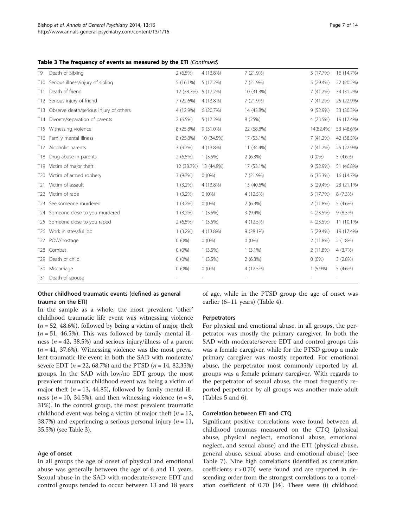Table 3 The frequency of events as measured by the ETI (Continued)

| Death of Sibling                       | 2(6.5%)         | 4 (13.8%)  | 7 (21.9%)  | 3 (17.7%)  | 16 (14.7%) |
|----------------------------------------|-----------------|------------|------------|------------|------------|
| Serious illness/injury of sibling      | $5(16.1\%)$     | 5 (17.2%)  | 7(21.9%)   | 5 (29.4%)  | 22 (20.2%) |
| Death of friend                        | 12 (38.7%)      | 5 (17.2%)  | 10 (31.3%) | 7 (41.2%)  | 34 (31.2%) |
| Serious injury of friend               | 7 (22.6%)       | 4 (13.8%)  | 7(21.9%)   | 7 (41.2%)  | 25 (22.9%) |
| Observe death/serious injury of others | 4 (12.9%)       | 6 (20.7%)  | 14 (43.8%) | 9 (52.9%)  | 33 (30.3%) |
| Divorce/separation of parents          | 2(6.5%)         | 5 (17.2%)  | 8 (25%)    | 4 (23.5%)  | 19 (17.4%) |
| Witnessing violence                    | 8 (25.8%)       | 9 (31.0%)  | 22 (68.8%) | 14(82.4%)  | 53 (48.6%) |
| Family mental illness                  | 8 (25.8%)       | 10 (34.5%) | 17 (53.1%) | 7 (41.2%)  | 42 (38.5%) |
| Alcoholic parents                      | 3(9.7%)         | 4 (13.8%)  | 11 (34.4%) | 7(41.2%)   | 25 (22.9%) |
| Drug abuse in parents                  | 2(6.5%)         | $1(3.5\%)$ | 2(6.3%)    | $0(0\%)$   | $5(4.6\%)$ |
| Victim of major theft                  | 12 (38.7%)      | 13 (44.8%) | 17 (53.1%) | 9 (52.9%)  | 51 (46.8%) |
| Victim of armed robbery                | 3(9.7%)         | $0(0\%)$   | 7 (21.9%)  | 6 (35.3%)  | 16 (14.7%) |
| Victim of assault                      | $1(3.2\%)$      | 4 (13.8%)  | 13 (40.6%) | 5 (29.4%)  | 23 (21.1%) |
| Victim of rape                         | $1(3.2\%)$      | $0(0\%)$   | 4 (12.5%)  | 3 (17.7%)  | 8 (7.3%)   |
| See someone murdered                   | $1(3.2\%)$      | $0(0\%)$   | 2(6.3%)    | 2(11.8%)   | $5(4.6\%)$ |
| Someone close to you murdered          | $1(3.2\%)$      | $1(3.5\%)$ | $3(9.4\%)$ | 4 (23.5%)  | 9(8.3%)    |
| Someone close to you raped             | 2(6.5%)         | $1(3.5\%)$ | 4 (12.5%)  | 4 (23.5%)  | 11 (10.1%) |
| Work in stressful job                  | $1(3.2\%)$      | 4 (13.8%)  | 9(28.1%)   | 5 (29.4%)  | 19 (17.4%) |
| POW/hostage                            | $0(0\%)$        | $0(0\%)$   | $0(0\%)$   | 2 (11.8%)  | $2(1.8\%)$ |
| Combat                                 | $0(0\%)$        | $1(3.5\%)$ | $1(3.1\%)$ | 2 (11.8%)  | 4 (3.7%)   |
| Death of child                         | $0(0\%)$        | $1(3.5\%)$ | 2(6.3%)    | $0(0\%)$   | 3(2.8%)    |
| Miscarriage                            | $0(0\%)$        | $0(0\%)$   | 4 (12.5%)  | $1(5.9\%)$ | 5(4.6%)    |
| Death of spouse                        |                 |            |            |            |            |
|                                        | T <sub>19</sub> |            |            |            |            |

## Other childhood traumatic events (defined as general trauma on the ETI)

In the sample as a whole, the most prevalent 'other' childhood traumatic life event was witnessing violence  $(n = 52, 48.6\%)$ , followed by being a victim of major theft  $(n = 51, 46.5\%)$ . This was followed by family mental illness ( $n = 42$ , 38.5%) and serious injury/illness of a parent  $(n = 41, 37.6\%)$ . Witnessing violence was the most prevalent traumatic life event in both the SAD with moderate/ severe EDT ( $n = 22, 68.7\%$ ) and the PTSD ( $n = 14, 82.35\%$ ) groups. In the SAD with low/no EDT group, the most prevalent traumatic childhood event was being a victim of major theft ( $n = 13$ , 44.85), followed by family mental illness ( $n = 10$ , 34.5%), and then witnessing violence ( $n = 9$ , 31%). In the control group, the most prevalent traumatic childhood event was being a victim of major theft ( $n = 12$ , 38.7%) and experiencing a serious personal injury ( $n = 11$ , 35.5%) (see Table [3](#page-5-0)).

#### Age of onset

In all groups the age of onset of physical and emotional abuse was generally between the age of 6 and 11 years. Sexual abuse in the SAD with moderate/severe EDT and control groups tended to occur between 13 and 18 years of age, while in the PTSD group the age of onset was earlier (6–11 years) (Table [4](#page-7-0)).

#### Perpetrators

For physical and emotional abuse, in all groups, the perpetrator was mostly the primary caregiver. In both the SAD with moderate/severe EDT and control groups this was a female caregiver, while for the PTSD group a male primary caregiver was mostly reported. For emotional abuse, the perpetrator most commonly reported by all groups was a female primary caregiver. With regards to the perpetrator of sexual abuse, the most frequently reported perpetrator by all groups was another male adult (Tables [5](#page-8-0) and [6\)](#page-10-0).

#### Correlation between ETI and CTQ

Significant positive correlations were found between all childhood traumas measured on the CTQ (physical abuse, physical neglect, emotional abuse, emotional neglect, and sexual abuse) and the ETI (physical abuse, general abuse, sexual abuse, and emotional abuse) (see Table [7](#page-11-0)). Nine high correlations (identified as correlation coefficients  $r > 0.70$ ) were found and are reported in descending order from the strongest correlations to a correlation coefficient of 0.70 [\[34](#page-13-0)]. These were (i) childhood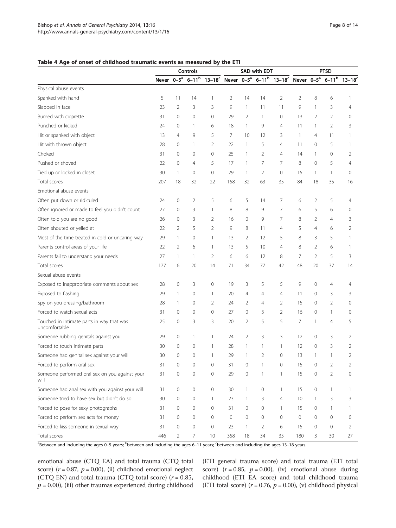#### <span id="page-7-0"></span>Table 4 Age of onset of childhood traumatic events as measured by the ETI

|                                                            |     |              | <b>Controls</b>                   |        |              | SAD with EDT |                | <b>PTSD</b>                                                                                                             |              |        |                |               |
|------------------------------------------------------------|-----|--------------|-----------------------------------|--------|--------------|--------------|----------------|-------------------------------------------------------------------------------------------------------------------------|--------------|--------|----------------|---------------|
|                                                            |     |              | Never $0 - 5^a$ 6-11 <sup>b</sup> |        |              |              |                | 13-18 <sup>c</sup> Never 0-5 <sup>a</sup> 6-11 <sup>b</sup> 13-18 <sup>c</sup> Never 0-5 <sup>a</sup> 6-11 <sup>b</sup> |              |        |                | $13 - 18^c$   |
| Physical abuse events                                      |     |              |                                   |        |              |              |                |                                                                                                                         |              |        |                |               |
| Spanked with hand                                          | 5   | 11           | 14                                |        | 2            | 14           | 14             | 2                                                                                                                       | 2            | 8      | 6              |               |
| Slapped in face                                            | 23  | 2            | 3                                 | 3      | 9            | $\mathbf{1}$ | 11             | 11                                                                                                                      | 9            | 1      | 3              | 4             |
| Burned with cigarette                                      | 31  | 0            | $\mathbf 0$                       | 0      | 29           | 2            | 1              | 0                                                                                                                       | 13           | 2      | $\overline{2}$ | 0             |
| Punched or kicked                                          | 24  | 0            | 1                                 | 6      | 18           | 1            | 9              | 4                                                                                                                       | 11           | 1      | 2              | 3             |
| Hit or spanked with object                                 | 13  | 4            | 9                                 | 5      | 7            | 10           | 12             | 3                                                                                                                       | $\mathbf{1}$ | 4      | 11             |               |
| Hit with thrown object                                     | 28  | 0            | 1                                 | 2      | 22           | $\mathbf{1}$ | 5              | 4                                                                                                                       | 11           | 0      | 5              | 1             |
| Choked                                                     | 31  | 0            | $\mathbf 0$                       | 0      | 25           | 1            | 2              | 4                                                                                                                       | 14           | 1      | $\mathbf 0$    | 2             |
| Pushed or shoved                                           | 22  | 0            | 4                                 | 5      | 17           | 1            | 7              | 7                                                                                                                       | 8            | 0      | 5              | 4             |
| Tied up or locked in closet                                | 30  | $\mathbf{1}$ | $\mathbf 0$                       | 0      | 29           | 1            | 2              | 0                                                                                                                       | 15           | 1      | $\mathbf{1}$   | 0             |
| Total scores                                               | 207 | 18           | 32                                | 22     | 158          | 32           | 63             | 35                                                                                                                      | 84           | 18     | 35             | 16            |
| Emotional abuse events                                     |     |              |                                   |        |              |              |                |                                                                                                                         |              |        |                |               |
| Often put down or ridiculed                                | 24  | 0            | 2                                 | 5      | 6            | 5            | 14             | 7                                                                                                                       | 6            | 2      | 5              | 4             |
| Often ignored or made to feel you didn't count             | 27  | 0            | 3                                 | 1      | 8            | 8            | 9              | 7                                                                                                                       | 6            | 5      | 6              | 0             |
| Often told you are no good                                 | 26  | 0            | 3                                 | 2      | 16           | 0            | 9              | 7                                                                                                                       | 8            | 2      | 4              | 3             |
| Often shouted or yelled at                                 | 22  | 2            | 5                                 | 2      | 9            | 8            | 11             | 4                                                                                                                       | 5            | 4      | 6              | 2             |
| Most of the time treated in cold or uncaring way           | 29  | 1            | 0                                 | 1      | 13           | 2            | 12             | 5                                                                                                                       | 8            | 3      | 5              | 1             |
| Parents control areas of your life                         | 22  | 2            | 6                                 | 1      | 13           | 5            | 10             | 4                                                                                                                       | 8            | 2      | 6              | 1             |
| Parents fail to understand your needs                      | 27  | 1            | 1                                 | 2      | 6            | 6            | 12             | 8                                                                                                                       | 7            | 2      | 5              | 3             |
| Total scores                                               | 177 | 6            | 20                                | 14     | 71           | 34           | 77             | 42                                                                                                                      | 48           | 20     | 37             | 14            |
| Sexual abuse events                                        |     |              |                                   |        |              |              |                |                                                                                                                         |              |        |                |               |
| Exposed to inappropriate comments about sex                | 28  | 0            | 3                                 | 0      | 19           | 3            | 5              | 5                                                                                                                       | 9            | 0      | $\overline{4}$ | 4             |
| Exposed to flashing                                        | 29  | 1            | $\mathbf 0$                       | 1      | 20           | 4            | 4              | 4                                                                                                                       | 11           | 0      | 3              | 3             |
| Spy on you dressing/bathroom                               | 28  | 1            | $\mathbf{0}$                      | 2      | 24           | 2            | 4              | 2                                                                                                                       | 15           | 0      | 2              | 0             |
| Forced to watch sexual acts                                | 31  | 0            | $\mathbf{0}$                      | 0      | 27           | 0            | 3              | 2                                                                                                                       | 16           | 0      | $\mathbf{1}$   | 0             |
| Touched in intimate parts in way that was<br>uncomfortable | 25  | 0            | 3                                 | 3      | 20           | 2            | 5              | 5                                                                                                                       | 7            | 1      | $\overline{4}$ | 5             |
| Someone rubbing genitals against you                       | 29  | 0            | 1                                 |        | 24           | 2            | 3              | 3                                                                                                                       | 12           | 0      | 3              | 2             |
| Forced to touch intimate parts                             | 30  | 0            | 0                                 | 1      | 28           | 1            | 1              | 1                                                                                                                       | 12           | 0      | 3              | 2             |
| Someone had genital sex against your will                  | 30  | 0            | $\overline{0}$                    |        | 29           |              | $\overline{2}$ | 0                                                                                                                       | 13           |        |                | 2             |
| Forced to perform oral sex                                 | 31  | $\cap$       | $\cap$                            | $\cap$ | 31           | $\cap$       | 1              | $\cap$                                                                                                                  | 15           | $\cap$ | っ              | $\mathcal{D}$ |
| Someone performed oral sex on you against your<br>will     | 31  | 0            | $\mathbf 0$                       | 0      | 29           | 0            | 1              |                                                                                                                         | 15           | 0      | 2              | 0             |
| Someone had anal sex with you against your will            | 31  | 0            | $\mathbf 0$                       | 0      | 30           | 1            | $\mathbf 0$    |                                                                                                                         | 15           | 0      | $\mathbf{1}$   | 1             |
| Someone tried to have sex but didn't do so                 | 30  | 0            | 0                                 | 1      | 23           | $\mathbf{1}$ | 3              | 4                                                                                                                       | 10           | 1      | 3              | 3             |
| Forced to pose for sexy photographs                        | 31  | 0            | $\mathbf 0$                       | 0      | 31           | 0            | $\mathbf{0}$   | 1                                                                                                                       | 15           | 0      | $\mathbf{1}$   | 1             |
| Forced to perform sex acts for money                       | 31  | 0            | 0                                 | 0      | $\mathbf{0}$ | 0            | 0              | 0                                                                                                                       | 0            | 0      | 0              | 0             |
| Forced to kiss someone in sexual way                       | 31  | 0            | $\mathbf 0$                       | 0      | 23           | 1            | 2              | 6                                                                                                                       | 15           | 0      | 0              | 2             |
| Total scores                                               | 446 | 2            | 7                                 | 10     | 358          | 18           | 34             | 35                                                                                                                      | 180          | 3      | 30             | 27            |

<sup>a</sup>Between and including the ages 0–5 years; <sup>b</sup>between and including the ages 6–11 years; <sup>c</sup>between and including the ages 13–18 years.

emotional abuse (CTQ EA) and total trauma (CTQ total score) ( $r = 0.87$ ,  $p = 0.00$ ), (ii) childhood emotional neglect (CTQ EN) and total trauma (CTQ total score)  $(r = 0.85,$  $p = 0.00$ , (iii) other traumas experienced during childhood (ETI general trauma score) and total trauma (ETI total score) ( $r = 0.85$ ,  $p = 0.00$ ), (iv) emotional abuse during childhood (ETI EA score) and total childhood trauma (ETI total score) ( $r = 0.76$ ,  $p = 0.00$ ), (v) childhood physical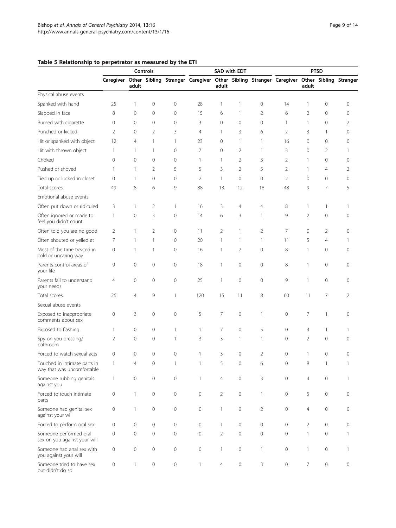|                                                            | Controls<br>SAD with EDT |                     |                     |                     |                |                |                | <b>PTSD</b>         |                                                                                                    |                |                |              |
|------------------------------------------------------------|--------------------------|---------------------|---------------------|---------------------|----------------|----------------|----------------|---------------------|----------------------------------------------------------------------------------------------------|----------------|----------------|--------------|
|                                                            |                          | adult               |                     |                     |                | adult          |                |                     | Caregiver Other Sibling Stranger Caregiver Other Sibling Stranger Caregiver Other Sibling Stranger | adult          |                |              |
| Physical abuse events                                      |                          |                     |                     |                     |                |                |                |                     |                                                                                                    |                |                |              |
| Spanked with hand                                          | 25                       | $\mathbf{1}$        | 0                   | 0                   | 28             | 1              | 1              | $\mathbf{0}$        | 14                                                                                                 | 1              | 0              | 0            |
| Slapped in face                                            | 8                        | $\mathbf{0}$        | $\mathbf 0$         | 0                   | 15             | 6              | 1              | 2                   | 6                                                                                                  | 2              | 0              | 0            |
| Burned with cigarette                                      | $\mathbf 0$              | $\mathbf{0}$        | 0                   | 0                   | 3              | $\mathbf{0}$   | $\mathbf{0}$   | 0                   | 1                                                                                                  | 1              | 0              | 2            |
| Punched or kicked                                          | 2                        | $\mathbf{0}$        | 2                   | 3                   | $\overline{4}$ | 1              | 3              | 6                   | 2                                                                                                  | 3              | 1              | 0            |
| Hit or spanked with object                                 | 12                       | $\overline{4}$      | 1                   | 1                   | 23             | 0              | 1              | 1                   | 16                                                                                                 | 0              | 0              | 0            |
| Hit with thrown object                                     | $\mathbf{1}$             | 1                   | 1                   | 0                   | 7              | $\mathbf{0}$   | 2              | 1                   | 3                                                                                                  | 0              | 2              | -1           |
| Choked                                                     | 0                        | $\mathbf{0}$        | 0                   | 0                   | 1              | 1              | $\overline{2}$ | 3                   | 2                                                                                                  | 1              | 0              | 0            |
| Pushed or shoved                                           | 1                        | 1                   | 2                   | 5                   | 5              | 3              | $\overline{2}$ | 5                   | 2                                                                                                  | 1              | 4              | 2            |
| Tied up or locked in closet                                | $\mathbf{0}$             | 1                   | 0                   | $\mathbf 0$         | 2              | 1              | $\mathbf{0}$   | 0                   | $\overline{2}$                                                                                     | 0              | $\mathbf{0}$   | $\mathbf{0}$ |
| Total scores                                               | 49                       | 8                   | 6                   | 9                   | 88             | 13             | 12             | 18                  | 48                                                                                                 | 9              | $\overline{7}$ | 5            |
| Emotional abuse events                                     |                          |                     |                     |                     |                |                |                |                     |                                                                                                    |                |                |              |
| Often put down or ridiculed                                | 3                        | 1                   | 2                   | 1                   | 16             | 3              | $\overline{4}$ | 4                   | 8                                                                                                  | 1              | 1              | 1            |
| Often ignored or made to<br>feel you didn't count          | $\mathbf{1}$             | 0                   | 3                   | 0                   | 14             | 6              | 3              | 1                   | 9                                                                                                  | $\overline{2}$ | $\mathbf 0$    | 0            |
| Often told you are no good                                 | 2                        | 1                   | 2                   | 0                   | 11             | 2              | 1              | 2                   | 7                                                                                                  | 0              | 2              | 0            |
| Often shouted or yelled at                                 | 7                        | 1                   | 1                   | 0                   | 20             | 1              | 1              | 1                   | 11                                                                                                 | 5              | 4              |              |
| Most of the time treated in<br>cold or uncaring way        | $\mathbf 0$              | 1                   | 1                   | 0                   | 16             | 1              | 2              | 0                   | 8                                                                                                  | 1              | 0              | 0            |
| Parents control areas of<br>your life                      | 9                        | $\mathbf{0}$        | 0                   | 0                   | 18             | 1              | $\mathbf 0$    | 0                   | 8                                                                                                  | 1              | 0              | 0            |
| Parents fail to understand<br>your needs                   | 4                        | $\mathbf 0$         | 0                   | 0                   | 25             | 1              | $\mathbf 0$    | 0                   | 9                                                                                                  | 1              | $\mathbf 0$    | 0            |
| Total scores                                               | 26                       | 4                   | 9                   | 1                   | 120            | 15             | 11             | 8                   | 60                                                                                                 | 11             | 7              | 2            |
| Sexual abuse events                                        |                          |                     |                     |                     |                |                |                |                     |                                                                                                    |                |                |              |
| Exposed to inappropriate<br>comments about sex             | $\mathbf{0}$             | 3                   | 0                   | $\mathbf 0$         | 5              | $\overline{7}$ | $\mathbf 0$    | 1                   | 0                                                                                                  | 7              | 1              | 0            |
| Exposed to flashing                                        | 1                        | $\mathbf{0}$        | 0                   | 1                   | 1              | 7              | $\mathbf{0}$   | 5                   | 0                                                                                                  | 4              | 1              | -1           |
| Spy on you dressing/<br>bathroom                           | 2                        | $\mathbf{0}$        | 0                   | $\mathbf{1}$        | 3              | 3              | 1              | 1                   | 0                                                                                                  | $\overline{2}$ | $\mathbf{0}$   | $\Omega$     |
| Forced to watch sexual acts                                | 0                        | $\mathbf{0}$        | 0                   | 0                   |                | 3              | $\mathbf 0$    | 2                   | 0                                                                                                  | 1              | 0              | $\mathbf{0}$ |
| Touched in intimate parts in<br>way that was uncomfortable | $\overline{1}$           | $\Lambda$           | $\circ$             | $\overline{1}$      |                | 5              | $\mathbb O$    | 6                   | 0                                                                                                  | $\,8\,$        | $\mathbf{1}$   |              |
| Someone rubbing genitals<br>against you                    | $\mathbf{1}$             | $\mathsf{O}\xspace$ | 0                   | $\mathsf{O}\xspace$ | $\mathbf{1}$   | 4              | $\mathbf 0$    | 3                   | 0                                                                                                  | $\overline{4}$ | 0              | $\mathbf{1}$ |
| Forced to touch intimate<br>parts                          | $\mathbf 0$              | 1                   | 0                   | $\mathsf{O}\xspace$ | 0              | $\overline{2}$ | $\mathbf 0$    | 1                   | $\mathsf{O}\xspace$                                                                                | 5              | $\mathbf 0$    | $\mathbf 0$  |
| Someone had genital sex<br>against your will               | $\mathbf 0$              | 1                   | 0                   | $\mathbf 0$         | $\mathbf 0$    | $\mathbf{1}$   | $\mathbf 0$    | $\overline{2}$      | 0                                                                                                  | $\overline{4}$ | $\mathbf 0$    | $\mathbf 0$  |
| Forced to perform oral sex                                 | 0                        | $\circ$             | 0                   | $\mathsf{O}\xspace$ | $\mathbf 0$    | $\mathbf{1}$   | $\mathbf{0}$   | $\circ$             | $\mathbf{0}$                                                                                       | $\overline{2}$ | $\mathbf 0$    | $\mathbf 0$  |
| Someone performed oral<br>sex on you against your will     | $\mathbf 0$              | $\mathsf{O}\xspace$ | 0                   | $\mathbf 0$         | $\mathbf 0$    | $\overline{2}$ | $\mathbf 0$    | $\mathsf{O}\xspace$ | 0                                                                                                  | $\mathbf{1}$   | 0              | $\mathbf{1}$ |
| Someone had anal sex with<br>you against your will         | $\mathbf 0$              | $\mathbf 0$         | 0                   | $\mathbf 0$         | $\mathbf 0$    | $\mathbf{1}$   | $\mathbb O$    | $\mathbf{1}$        | 0                                                                                                  | $\mathbf{1}$   | 0              | $\mathbf{1}$ |
| Someone tried to have sex<br>but didn't do so              | $\mathsf{O}\xspace$      | 1                   | $\mathsf{O}\xspace$ | $\mathsf{O}\xspace$ | $\mathbf{1}$   | $\overline{4}$ | $\mathbf 0$    | 3                   | 0                                                                                                  | $\overline{7}$ | 0              | $\mathbf 0$  |

## <span id="page-8-0"></span>Table 5 Relationship to perpetrator as measured by the ETI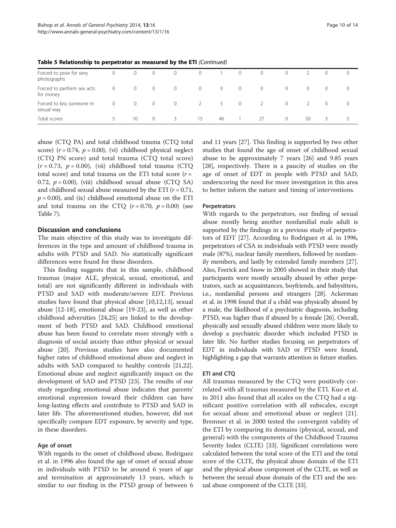| Forced to pose for sexy<br>photographs  | 0            | $\mathbf{0}$ | 0        | 0            |    |                | $\mathbf{0}$   | $\mathbf 0$ | 0            |    |          |  |
|-----------------------------------------|--------------|--------------|----------|--------------|----|----------------|----------------|-------------|--------------|----|----------|--|
| Forced to perform sex acts<br>for money | $\mathbf{0}$ | $\circ$      | $\circ$  | $\mathbf{0}$ | 0  | $\overline{0}$ | $\overline{0}$ | $\mathbf 0$ | $\mathbf{0}$ | 0  | $\Omega$ |  |
| Forced to kiss someone in<br>sexual way | 0            | $\circ$      | $\circ$  | $\circ$      | 2  | $5 -$          | $\overline{0}$ |             | $\mathbf{0}$ |    | $\Omega$ |  |
| Total scores                            |              | 10           | $\Omega$ | Κ            | 15 | 46             |                | 27          | $\Omega$     | 50 | 3        |  |

Table 5 Relationship to perpetrator as measured by the ETI (Continued)

abuse (CTQ PA) and total childhood trauma (CTQ total score) ( $r = 0.74$ ,  $p = 0.00$ ), (vi) childhood physical neglect (CTQ PN score) and total trauma (CTQ total score)  $(r = 0.73, p = 0.00)$ , (vii) childhood total trauma (CTQ total score) and total trauma on the ETI total score  $(r =$ 0.72,  $p = 0.00$ ), (viii) childhood sexual abuse (CTQ SA) and childhood sexual abuse measured by the ETI ( $r = 0.71$ ,  $p = 0.00$ ), and (ix) childhood emotional abuse on the ETI and total trauma on the CTQ  $(r = 0.70, p = 0.00)$  (see Table [7\)](#page-11-0).

#### Discussion and conclusions

The main objective of this study was to investigate differences in the type and amount of childhood trauma in adults with PTSD and SAD. No statistically significant differences were found for these disorders.

This finding suggests that in this sample, childhood traumas (major ALE, physical, sexual, emotional, and total) are not significantly different in individuals with PTSD and SAD with moderate/severe EDT. Previous studies have found that physical abuse [[10,12,13\]](#page-12-0), sexual abuse [[12](#page-12-0)-[18\]](#page-12-0), emotional abuse [[19-23](#page-12-0)], as well as other childhood adversities [\[24,25](#page-12-0)] are linked to the development of both PTSD and SAD. Childhood emotional abuse has been found to correlate more strongly with a diagnosis of social anxiety than either physical or sexual abuse [\[20](#page-12-0)]. Previous studies have also documented higher rates of childhood emotional abuse and neglect in adults with SAD compared to healthy controls [\[21,22](#page-12-0)]. Emotional abuse and neglect significantly impact on the development of SAD and PTSD [\[23](#page-12-0)]. The results of our study regarding emotional abuse indicates that parents' emotional expression toward their children can have long-lasting effects and contribute to PTSD and SAD in later life. The aforementioned studies, however, did not specifically compare EDT exposure, by severity and type, in these disorders.

#### Age of onset

With regards to the onset of childhood abuse, Rodriguez et al. in 1996 also found the age of onset of sexual abuse in individuals with PTSD to be around 6 years of age and termination at approximately 13 years, which is similar to our finding in the PTSD group of between 6 and 11 years [\[27\]](#page-13-0). This finding is supported by two other studies that found the age of onset of childhood sexual abuse to be approximately 7 years [\[26](#page-12-0)] and 9.85 years [[28\]](#page-13-0), respectively. There is a paucity of studies on the age of onset of EDT in people with PTSD and SAD, underscoring the need for more investigation in this area to better inform the nature and timing of interventions.

#### Perpetrators

With regards to the perpetrators, our finding of sexual abuse mostly being another nonfamilial male adult is supported by the findings in a previous study of perpetrators of EDT [\[27](#page-13-0)]. According to Rodriguez et al. in 1996, perpetrators of CSA in individuals with PTSD were mostly male (87%), nuclear family members, followed by nonfamily members, and lastly by extended family members [[27](#page-13-0)]. Also, Feerick and Snow in 2005 showed in their study that participants were mostly sexually abused by other perpetrators, such as acquaintances, boyfriends, and babysitters, i.e., nonfamilial persons and strangers [[28](#page-13-0)]. Ackerman et al. in 1998 found that if a child was physically abused by a male, the likelihood of a psychiatric diagnosis, including PTSD, was higher than if abused by a female [\[26\]](#page-12-0). Overall, physically and sexually abused children were more likely to develop a psychiatric disorder which included PTSD in later life. No further studies focusing on perpetrators of EDT in individuals with SAD or PTSD were found, highlighting a gap that warrants attention in future studies.

#### ETI and CTQ

All traumas measured by the CTQ were positively correlated with all traumas measured by the ETI. Kuo et al. in 2011 also found that all scales on the CTQ had a significant positive correlation with all subscales, except for sexual abuse and emotional abuse or neglect [\[21](#page-12-0)]. Bremner et al. in 2000 tested the convergent validity of the ETI by comparing its domains (physical, sexual, and general) with the components of the Childhood Trauma Severity Index (CLTE) [\[33](#page-13-0)]. Significant correlations were calculated between the total score of the ETI and the total score of the CLTE, the physical abuse domain of the ETI and the physical abuse component of the CLTE, as well as between the sexual abuse domain of the ETI and the sexual abuse component of the CLTE [\[33\]](#page-13-0).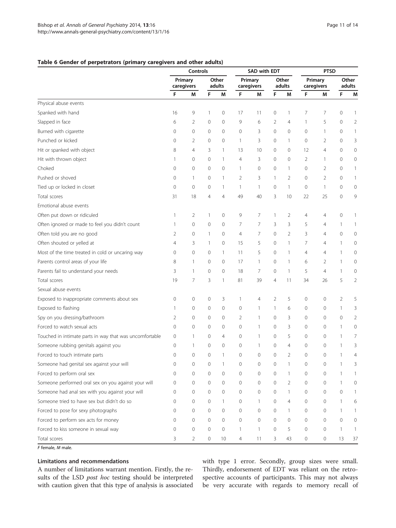#### <span id="page-10-0"></span>Table 6 Gender of perpetrators (primary caregivers and other adults)

| ------- \p <b>/</b>                                     | Controls              |                     |             |                 |                | SAD with EDT          |                |                 | <b>PTSD</b>           |              |                |                     |  |
|---------------------------------------------------------|-----------------------|---------------------|-------------|-----------------|----------------|-----------------------|----------------|-----------------|-----------------------|--------------|----------------|---------------------|--|
|                                                         | Primary<br>caregivers |                     |             | Other<br>adults |                | Primary<br>caregivers |                | Other<br>adults | Primary<br>caregivers |              |                | Other<br>adults     |  |
|                                                         | F.                    | M                   | F.          | M               | F              | M                     | F              | M               | F                     | М            | F              | M                   |  |
| Physical abuse events                                   |                       |                     |             |                 |                |                       |                |                 |                       |              |                |                     |  |
| Spanked with hand                                       | 16                    | 9                   | 1           | 0               | 17             | 11                    | $\mathbf 0$    | 1               | 7                     | 7            | $\mathbf 0$    | 1                   |  |
| Slapped in face                                         | 6                     | 2                   | 0           | $\mathbf{0}$    | 9              | 6                     | 2              | 4               | 1                     | 5            | 0              | 2                   |  |
| Burned with cigarette                                   | 0                     | 0                   | 0           | $\mathbf{0}$    | $\mathbf{0}$   | 3                     | $\circ$        | $\mathbf{0}$    | 0                     | 1            | $\mathbf{0}$   | 1                   |  |
| Punched or kicked                                       | 0                     | 2                   | 0           | $\mathbf{0}$    | $\mathbf{1}$   | 3                     | $\mathbf{0}$   | $\mathbf{1}$    | 0                     | 2            | $\mathbf{0}$   | 3                   |  |
| Hit or spanked with object                              | 8                     | $\overline{4}$      | 3           | $\mathbf{1}$    | 13             | 10                    | $\mathbf{0}$   | $\mathbf 0$     | 12                    | 4            | $\mathbf{0}$   | 0                   |  |
| Hit with thrown object                                  | 1                     | 0                   | 0           | 1               | $\overline{4}$ | 3                     | $\circ$        | $\mathbf 0$     | 2                     | 1            | $\mathbf{0}$   | 0                   |  |
| Choked                                                  | 0                     | 0                   | 0           | $\mathbf 0$     | $\mathbf{1}$   | 0                     | $\mathbf{0}$   | 1               | 0                     | 2            | $\mathbf 0$    | $\mathbf{1}$        |  |
| Pushed or shoved                                        | 0                     | 1                   | 0           | 1               | 2              | 3                     | 1              | 2               | 0                     | 2            | 0              | 1                   |  |
| Tied up or locked in closet                             | $\mathbf 0$           | 0                   | $\mathbf 0$ | 1               | $\overline{1}$ | 1                     | $\mathbf{0}$   | $\mathbf{1}$    | 0                     | 1            | $\mathbf{0}$   | 0                   |  |
| Total scores                                            | 31                    | 18                  | 4           | 4               | 49             | 40                    | 3              | 10              | 22                    | 25           | $\mathbf{0}$   | 9                   |  |
| Emotional abuse events                                  |                       |                     |             |                 |                |                       |                |                 |                       |              |                |                     |  |
| Often put down or ridiculed                             | 1                     | 2                   | 1           | 0               | 9              | 7                     | 1              | 2               | $\overline{4}$        | 4            | $\mathbf{0}$   | 1                   |  |
| Often ignored or made to feel you didn't count          | 1                     | 0                   | 0           | $\mathbf 0$     | 7              | 7                     | 3              | 3               | 5                     | 4            | 1              | 1                   |  |
| Often told you are no good                              | 2                     | 0                   | 1           | 0               | $\overline{4}$ | 7                     | 0              | 2               | 3                     | 4            | 0              | 0                   |  |
| Often shouted or yelled at                              | 4                     | 3                   | 1           | $\mathbf{0}$    | 15             | 5                     | $\mathbf{0}$   | $\mathbf{1}$    | 7                     | 4            | $\mathbf{1}$   | 0                   |  |
| Most of the time treated in cold or uncaring way        | 0                     | 0                   | 0           | 1               | 11             | 5                     | $\mathbf{0}$   | 1               | $\overline{4}$        | 4            | 1              | 0                   |  |
| Parents control areas of your life                      | 8                     | 1                   | 0           | $\mathbf{0}$    | 17             | 1                     | $\mathbf{0}$   | 1               | 6                     | 2            | $\mathbf{1}$   | 0                   |  |
| Parents fail to understand your needs                   | 3                     | $\mathbf{1}$        | 0           | $\mathbf{0}$    | 18             | 7                     | $\mathbf{0}$   | $\mathbf{1}$    | 5                     | 4            | $\mathbf{1}$   | 0                   |  |
| Total scores                                            | 19                    | 7                   | 3           | 1               | 81             | 39                    | $\overline{4}$ | 11              | 34                    | 26           | 5              | $\overline{2}$      |  |
| Sexual abuse events                                     |                       |                     |             |                 |                |                       |                |                 |                       |              |                |                     |  |
| Exposed to inappropriate comments about sex             | 0                     | 0                   | 0           | 3               | $\mathbf{1}$   | 4                     | 2              | 5               | 0                     | 0            | 2              | 5                   |  |
| Exposed to flashing                                     | 1                     | 0                   | 0           | $\mathbf{0}$    | $\mathbf 0$    | 1                     | 1              | 6               | 0                     | $\mathbf{0}$ | $\mathbf{1}$   | 3                   |  |
| Spy on you dressing/bathroom                            | 2                     | 0                   | 0           | 0               | 2              | 1                     | $\mathbf{0}$   | 3               | $\mathbf{0}$          | $\mathbf{0}$ | $\mathbf{0}$   | 2                   |  |
| Forced to watch sexual acts                             | $\mathbf 0$           | 0                   | 0           | 0               | $\mathbf 0$    | 1                     | $\mathbf{0}$   | 3               | $\mathbf{0}$          | $\mathbf{0}$ | $\mathbf{1}$   | 0                   |  |
| Touched in intimate parts in way that was uncomfortable | 0                     | 1                   | 0           | $\overline{4}$  | $\mathbf 0$    | 1                     | $\mathbf{0}$   | 5               | 0                     | 0            | $\mathbf{1}$   | 7                   |  |
| Someone rubbing genitals against you                    | 0                     | 1                   | 0           | $\mathbf{0}$    | $\mathbf 0$    | 1                     | 0              | $\overline{4}$  | 0                     | $\circ$      | 1              | 3                   |  |
| Forced to touch intimate parts                          | $\mathbf{0}$          | 0                   | 0           | 1               | $\mathbf 0$    | 0                     | $\mathbf{0}$   | $\overline{2}$  | $\mathbf{0}$          | $\mathbf{0}$ | $\mathbf{1}$   | 4                   |  |
| Someone had genital sex against your will               |                       |                     |             |                 |                |                       |                |                 |                       |              |                |                     |  |
| Forced to perform oral sex                              | 0                     | 0                   | 0           | $\mathbf{0}$    | $\mathbf 0$    | 0                     | 0              | 1               | $\mathbf{0}$          | 0            |                |                     |  |
| Someone performed oral sex on you against your will     | 0                     | $\mathsf{O}\xspace$ | $\mathbf 0$ | $\circ$         | $\mathbf 0$    | 0                     | 0              | $\overline{2}$  | $\mathbf 0$           | $\mathbf 0$  | -1             | $\mathbf{0}$        |  |
| Someone had anal sex with you against your will         | 0                     | 0                   | 0           | 0               | 0              | 0                     | 0              | 1               | 0                     | $\circ$      | $\circ$        | $\mathbf{1}$        |  |
| Someone tried to have sex but didn't do so              | 0                     | 0                   | 0           | $\mathbf{1}$    | 0              | $\mathbf{1}$          | $\circ$        | 4               | 0                     | $\circ$      | $\overline{1}$ | 6                   |  |
| Forced to pose for sexy photographs                     | 0                     | 0                   | 0           | 0               | 0              | 0                     | 0              | $\mathbf{1}$    | 0                     | 0            | $\mathbf{1}$   | $\mathbf{1}$        |  |
| Forced to perform sex acts for money                    | 0                     | $\mathsf{O}\xspace$ | 0           | $\mathbf 0$     | $\mathbf 0$    | $\mathbf 0$           | $\circ$        | $\mathbf 0$     | $\mathbf 0$           | 0            | $\mathbf{0}$   | $\mathsf{O}\xspace$ |  |
| Forced to kiss someone in sexual way                    | 0                     | $\mathsf{O}\xspace$ | 0           | 0               | $\mathbf{1}$   | $\mathbf{1}$          | $\circ$        | 5               | $\mathbf 0$           | $\circ$      | $\mathbf{1}$   | 1                   |  |
| Total scores                                            | 3                     | $\overline{2}$      | 0           | 10              | $\overline{4}$ | 11                    | 3              | 43              | $\mathbf 0$           | $\mathbf 0$  | 13             | 37                  |  |

F female, M male.

## Limitations and recommendations

A number of limitations warrant mention. Firstly, the results of the LSD post hoc testing should be interpreted with caution given that this type of analysis is associated with type 1 error. Secondly, group sizes were small. Thirdly, endorsement of EDT was reliant on the retrospective accounts of participants. This may not always be very accurate with regards to memory recall of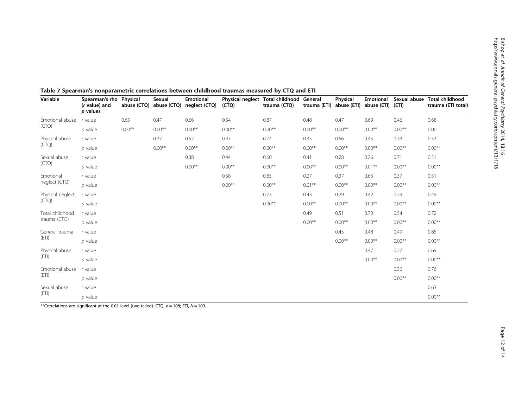| Variable                   | Spearman's rho Physical<br>(r value) and<br>p values | abuse (CTQ) | Sexual   | <b>Emotional</b><br>abuse (CTQ) neglect (CTQ) | (CTO)    | Physical neglect Total childhood General<br>trauma (CTQ) | trauma (ETI) | <b>Physical</b><br>abuse (ETI) | Emotional<br>abuse (ETI) (ETI) | Sexual abuse | <b>Total childhood</b><br>trauma (ETI total) |
|----------------------------|------------------------------------------------------|-------------|----------|-----------------------------------------------|----------|----------------------------------------------------------|--------------|--------------------------------|--------------------------------|--------------|----------------------------------------------|
| Emotional abuse            | $r$ value                                            | 0.65        | 0.47     | 0.66                                          | 0.54     | 0.87                                                     | 0.48         | 0.47                           | 0.69                           | 0.46         | 0.68                                         |
| (CTQ)                      | $p$ value                                            | $0.00**$    | $0.00**$ | $0.00**$                                      | $0.00**$ | $0.00**$                                                 | $0.00**$     | $0.00**$                       | $0.00**$                       | $0.00**$     | 0.00                                         |
| Physical abuse             | $r$ value                                            |             | 0.37     | 0.52                                          | 0.47     | 0.74                                                     | 0.35         | 0.56                           | 0.45                           | 0.33         | 0.53                                         |
| (CTQ)                      | $p$ value                                            |             | $0.00**$ | $0.00**$                                      | $0.00**$ | $0.00**$                                                 | $0.00**$     | $0.00**$                       | $0.00**$                       | $0.00***$    | $0.00**$                                     |
| Sexual abuse<br>(CTQ)      | $r$ value                                            |             |          | 0.38                                          | 0.44     | 0.60                                                     | 0.41         | 0.28                           | 0.26                           | 0.71         | 0.51                                         |
|                            | $p$ value                                            |             |          | $0.00**$                                      | $0.00**$ | $0.00**$                                                 | $0.00**$     | $0.00**$                       | $0.01***$                      | $0.00**$     | $0.00**$                                     |
| Emotional<br>neglect (CTQ) | $r$ value                                            |             |          |                                               | 0.58     | 0.85                                                     | 0.27         | 0.37                           | 0.63                           | 0.37         | 0.51                                         |
|                            | $p$ value                                            |             |          |                                               | $0.00**$ | $0.00**$                                                 | $0.01***$    | $0.00**$                       | $0.00**$                       | $0.00***$    | $0.00**$                                     |
| Physical neglect           | $r$ value                                            |             |          |                                               |          | 0.73                                                     | 0.43         | 0.29                           | 0.42                           | 0.39         | 0.49                                         |
| (CTQ)                      | $p$ value                                            |             |          |                                               |          | $0.00**$                                                 | $0.00**$     | $0.00**$                       | $0.00**$                       | $0.00**$     | $0.00**$                                     |
| Total childhood            | $r$ value                                            |             |          |                                               |          |                                                          | 0.49         | 0.51                           | 0.70                           | 0.54         | 0.72                                         |
| trauma (CTQ)               | $p$ value                                            |             |          |                                               |          |                                                          | $0.00**$     | $0.00**$                       | $0.00**$                       | $0.00**$     | $0.00**$                                     |
| General trauma             | $r$ value                                            |             |          |                                               |          |                                                          |              | 0.45                           | 0.48                           | 0.49         | 0.85                                         |
| (ETI)                      | $p$ value                                            |             |          |                                               |          |                                                          |              | $0.00**$                       | $0.00**$                       | $0.00**$     | $0.00**$                                     |
| Physical abuse             | $r$ value                                            |             |          |                                               |          |                                                          |              |                                | 0.47                           | 0.27         | 0.69                                         |
| (ETI)                      | $p$ value                                            |             |          |                                               |          |                                                          |              |                                | $0.00**$                       | $0.00***$    | $0.00**$                                     |
| Emotional abuse            | $r$ value                                            |             |          |                                               |          |                                                          |              |                                |                                | 0.36         | 0.76                                         |
| (ETI)                      | $p$ value                                            |             |          |                                               |          |                                                          |              |                                |                                | $0.00***$    | $0.00**$                                     |
| Sexual abuse<br>(ETI)      | $r$ value                                            |             |          |                                               |          |                                                          |              |                                |                                |              | 0.63                                         |
|                            | $p$ value                                            |             |          |                                               |          |                                                          |              |                                |                                |              | $0.00**$                                     |

<span id="page-11-0"></span>Table <sup>7</sup> Spearman's nonparametric correlations between childhood traumas measured by CTQ and ETI

\*\*Correlations are significant at the 0.01 level (two-tailed). CTQ,  $n = 108$ ; ETI,  $N = 109$ .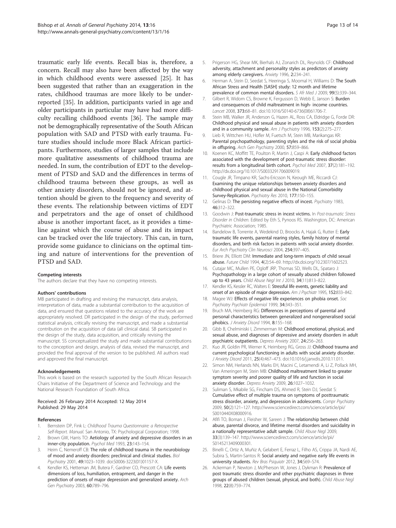<span id="page-12-0"></span>traumatic early life events. Recall bias is, therefore, a concern. Recall may also have been affected by the way in which childhood events were assessed [25]. It has been suggested that rather than an exaggeration in the rates, childhood traumas are more likely to be underreported [\[35\]](#page-13-0). In addition, participants varied in age and older participants in particular may have had more difficulty recalling childhood events [[36\]](#page-13-0). The sample may not be demographically representative of the South African population with SAD and PTSD with early trauma. Future studies should include more Black African participants. Furthermore, studies of larger samples that include more qualitative assessments of childhood trauma are needed. In sum, the contribution of EDT to the development of PTSD and SAD and the differences in terms of childhood trauma between these groups, as well as other anxiety disorders, should not be ignored, and attention should be given to the frequency and severity of these events. The relationship between victims of EDT and perpetrators and the age of onset of childhood abuse is another important facet, as it provides a timeline against which the course of abuse and its impact can be tracked over the life trajectory. This can, in turn, provide some guidance to clinicians on the optimal timing and nature of interventions for the prevention of PTSD and SAD.

#### Competing interests

The authors declare that they have no competing interests.

#### Authors' contributions

MB participated in drafting and revising the manuscript, data analysis, interpretation of data, made a substantial contribution to the acquisition of data, and ensured that questions related to the accuracy of the work are appropriately resolved. DR participated in the design of the study, performed statistical analysis, critically revising the manuscript, and made a substantial contribution on the acquisition of data (all clinical data). SB participated in the design of the study, data acquisition, and critically revising the manuscript. SS conceptualized the study and made substantial contributions to the conception and design, analysis of data, revised the manuscript, and provided the final approval of the version to be published. All authors read and approved the final manuscript.

#### Acknowledgements

This work is based on the research supported by the South African Research Chairs Initiative of the Department of Science and Technology and the National Research Foundation of South Africa.

#### Received: 26 February 2014 Accepted: 12 May 2014 Published: 29 May 2014

#### References

- 1. Bernstein DP, Fink L: Childhood Trauma Questionnaire: a Retrospective Self-Report. Manual. San Antonio, TX: Psychological Corporation; 1998.
- Brown GW, Harris TO: Aetiology of anxiety and depressive disorders in an inner-city population. Psychol Med 1993, 23:143–154.
- Heim C, Nemeroff CB: The role of childhood trauma in the neurobiology of mood and anxiety disorders: preclinical and clinical studies. Biol Psychiatry 2001, 49:1023–1039. doi:S0006-3223(01)01157-X.
- Kendler KS, Hetteman JM, Butera F, Gardner CO, Prescott CA: Life events dimensions of loss, humiliation, entrapment, and danger in the prediction of onsets of major depression and generalized anxiety. Arch Gen Psychiatry 2003, 60:789–796.
- Prigerson HG, Shear MK, Bierhals AJ, Zonarich DL, Reynolds CF: Childhood adversity, attachment and personality styles as predictors of anxiety among elderly caregivers. Anxiety 1996, 2:234–241.
- 6. Herman A, Stein D, Seedat S, Heeringa S, Moomal H, Williams D: The South African Stress and Health [SASH] study: 12 month and lifetime prevalence of common mental disorders. S Afr Med J 2009, 99(5):339–344.
- 7. Gilbert R, Widom CS, Browne K, Fergusson D, Webb E, Janson S: Burden and consequences of child maltreatment in high- income countries. Lancet 2008, 373:68–81. doi:10.1016/S0140-6736(08)61706-7.
- 8. Stein MB, Walker JR, Anderson G, Hazen AL, Ross CA, Eldridge G, Forde DR: Childhood physical and sexual abuse in patients with anxiety disorders and in a community sample. Am J Psychiatry 1996, 153(2):275-277.
- 9. Lieb R, Wittchen HU, Hofler M, Fuetsch M, Stein MB, Marikangas KR: Parental psychopathology, parenting styles and the risk of social phobia in offspring. Arch Gen Psychiatry 2000, 57:859–866.
- 10. Koenen KC, Moffitt TE, Poulton R, Martin J, Caspi A: Early childhood factors associated with the development of post-traumatic stress disorder: results from a longitudinal birth cohort. Psychol Med 2007, 37(2):181–192. <http://dx.doi.org/10.1017/S0033291706009019>.
- 11. Cougle JR, Timpano KR, Sachs-Ericsson N, Keough ME, Riccardi CJ: Examining the unique relationships between anxiety disorders and childhood physical and sexual abuse in the National Comorbidity Survey-Replication. Psychiatry Res 2010, 177:150–155.
- 12. Gelinas D: The persisting negative effects of incest. Psychiatry 1983, 46:312–322.
- 13. Goodwin J: Post-traumatic stress in incest victims. In Post-traumatic Stress Disorder in Children. Edited by Eth S, Pynoos RS. Washington, DC: American Psychiatric Association; 1985.
- 14. Bandelow B, Torrente A, Wedekind D, Broocks A, Hajak G, Rutter E: Early traumatic life events, parental rearing styles, family history of mental disorders, and birth risk factors in patients with social anxiety disorder. Eur Arch Psychiatry Clin Neurosci 2004, 254:397–405.
- 15. Briere JN, Elliott DM: Immediate and long-term impacts of child sexual abuse. Future Child 1994, 4(2):54–69. http://dx.doi.org/10.2307/1602523.
- 16. Cutajar MC, Mullen PE, Ogloff JRP, Thomas SD, Wells DL, Spataro J: Psychopathology in a large cohort of sexually abused children followed up to 43 years. Child Abuse Negl Int J 2010, 34(11):813–822.
- 17. Kendler KS, Kessler RC, Walters E: Stressful life events, genetic liability and onset of an episode of major depression. Am J Psychiatr 1995, 152:833–842.
- 18. Magee WJ: Effects of negative life experiences on phobia onset. Soc Psychiatry Psychiatr Epidemiol 1999, 34:343–351.
- 19. Bruch MA, Heimberg RG: Differences in perceptions of parental and personal characteristics between generalized and nongeneralised social phobics. J Anxiety Disord 1994, 8:155–168.
- 20. Gibb B, Chelminiski I, Zimmerman M: Childhood emotional, physical, and sexual abuse, and diagnoses of depressive and anxiety disorders in adult psychiatric outpatients. Depress Anxiety 2007, 24:256–263.
- 21. Kuo JR, Goldin PR, Werner K, Heimberg RG, Gross JJ: Childhood trauma and current psychological functioning in adults with social anxiety disorder. J Anxiety Disord 2011, 25(4):467–473. doi:10.1016/j.janxdis.2010.11.011.
- 22. Simon NM, Herlands NN, Marks EH, Macini C, Letamendi A, Li Z, Pollack MH, Van Ameringen M, Stein MB: Childhood maltreatment linked to greater symptom severity and poorer quality of life and function in social anxiety disorder. Depress Anxiety 2009, 26:1027-1032.
- 23. Suliman S, Mkabile SG, Fincham DS, Ahmed R, Stein DJ, Seedat S: Cumulative effect of multiple trauma on symptoms of posttraumatic stress disorder, anxiety, and depression in adolescents. Compr Psychiatry 2009, 50(2):121–127. [http://www.sciencedirect.com/science/article/pii/](http://www.sciencedirect.com/science/article/pii/S0010440X08000916) [S0010440X08000916](http://www.sciencedirect.com/science/article/pii/S0010440X08000916).
- 24. Afifi TO, Boman J, Fleisher W, Sareen J: The relationship between child abuse, parental divorce, and lifetime mental disorders and suicidality in a nationally representative adult sample. Child Abuse Negl 2009, 33(3):139–147. [http://www.sciencedirect.com/science/article/pii/](http://www.sciencedirect.com/science/article/pii/S0145213409000301) [S0145213409000301.](http://www.sciencedirect.com/science/article/pii/S0145213409000301)
- 25. Binelli C, Ortiz A, Muñiz A, Gelabert E, Ferraz L, Filho AS, Crippa JA, Nardi AE, Subira S, Martin-Santos R: Social anxiety and negative early life events in university students. Rev Bras Psiquiatr 2012, 34:S69–S74.
- 26. Ackerman P, Newton J, McPherson W, Jones J, Dykman R: Prevalence of post traumatic stress disorder and other psychiatric diagnoses in three groups of abused children (sexual, physical, and both). Child Abuse Negl 1998, 22(8):759–774.